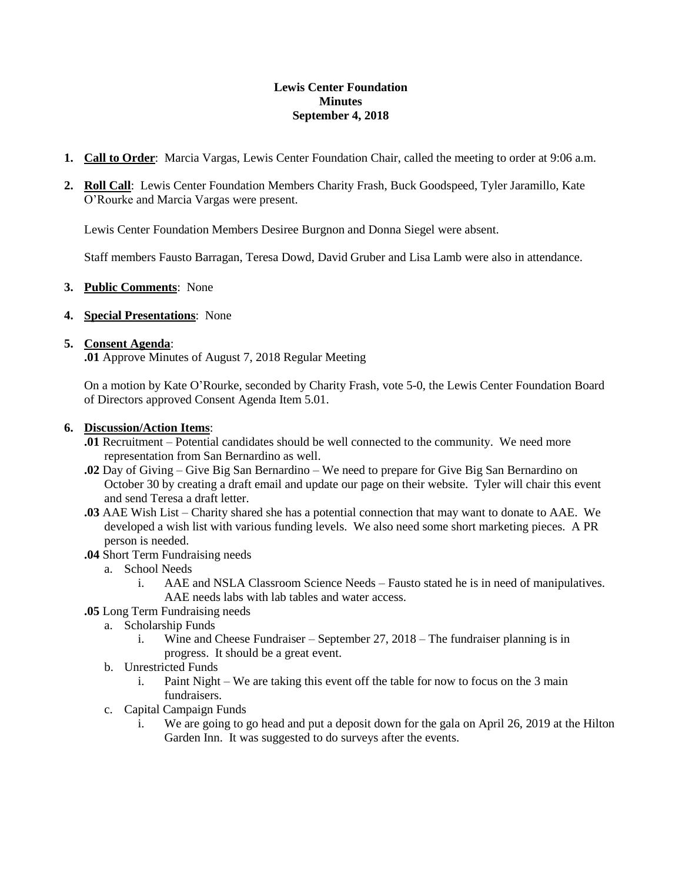#### **Lewis Center Foundation Minutes September 4, 2018**

- **1. Call to Order**: Marcia Vargas, Lewis Center Foundation Chair, called the meeting to order at 9:06 a.m.
- **2. Roll Call**: Lewis Center Foundation Members Charity Frash, Buck Goodspeed, Tyler Jaramillo, Kate O'Rourke and Marcia Vargas were present.

Lewis Center Foundation Members Desiree Burgnon and Donna Siegel were absent.

Staff members Fausto Barragan, Teresa Dowd, David Gruber and Lisa Lamb were also in attendance.

### **3. Public Comments**: None

**4. Special Presentations**: None

### **5. Consent Agenda**:

**.01** Approve Minutes of August 7, 2018 Regular Meeting

On a motion by Kate O'Rourke, seconded by Charity Frash, vote 5-0, the Lewis Center Foundation Board of Directors approved Consent Agenda Item 5.01.

#### **6. Discussion/Action Items**:

- **.01** Recruitment Potential candidates should be well connected to the community. We need more representation from San Bernardino as well.
- **.02** Day of Giving Give Big San Bernardino We need to prepare for Give Big San Bernardino on October 30 by creating a draft email and update our page on their website. Tyler will chair this event and send Teresa a draft letter.
- **.03** AAE Wish List Charity shared she has a potential connection that may want to donate to AAE. We developed a wish list with various funding levels. We also need some short marketing pieces. A PR person is needed.

## **.04** Short Term Fundraising needs

- a. School Needs
	- i. AAE and NSLA Classroom Science Needs Fausto stated he is in need of manipulatives. AAE needs labs with lab tables and water access.
- **.05** Long Term Fundraising needs
	- a. Scholarship Funds
		- i. Wine and Cheese Fundraiser September 27, 2018 The fundraiser planning is in progress. It should be a great event.
	- b. Unrestricted Funds
		- i. Paint Night We are taking this event off the table for now to focus on the 3 main fundraisers.
	- c. Capital Campaign Funds
		- i. We are going to go head and put a deposit down for the gala on April 26, 2019 at the Hilton Garden Inn. It was suggested to do surveys after the events.